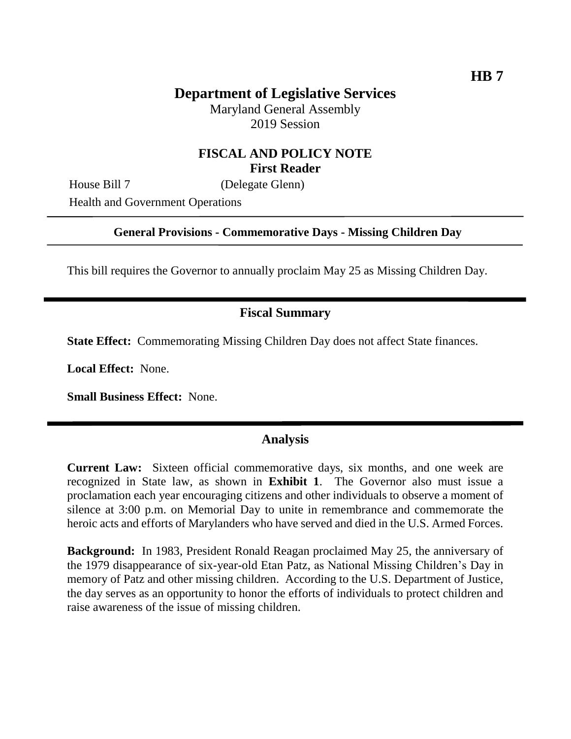Maryland General Assembly 2019 Session

# **FISCAL AND POLICY NOTE First Reader**

House Bill 7 (Delegate Glenn)

Health and Government Operations

#### **General Provisions - Commemorative Days - Missing Children Day**

This bill requires the Governor to annually proclaim May 25 as Missing Children Day.

# **Fiscal Summary**

**State Effect:** Commemorating Missing Children Day does not affect State finances.

**Local Effect:** None.

**Small Business Effect:** None.

### **Analysis**

**Current Law:** Sixteen official commemorative days, six months, and one week are recognized in State law, as shown in **Exhibit 1**. The Governor also must issue a proclamation each year encouraging citizens and other individuals to observe a moment of silence at 3:00 p.m. on Memorial Day to unite in remembrance and commemorate the heroic acts and efforts of Marylanders who have served and died in the U.S. Armed Forces.

**Background:** In 1983, President Ronald Reagan proclaimed May 25, the anniversary of the 1979 disappearance of six-year-old Etan Patz, as National Missing Children's Day in memory of Patz and other missing children. According to the U.S. Department of Justice, the day serves as an opportunity to honor the efforts of individuals to protect children and raise awareness of the issue of missing children.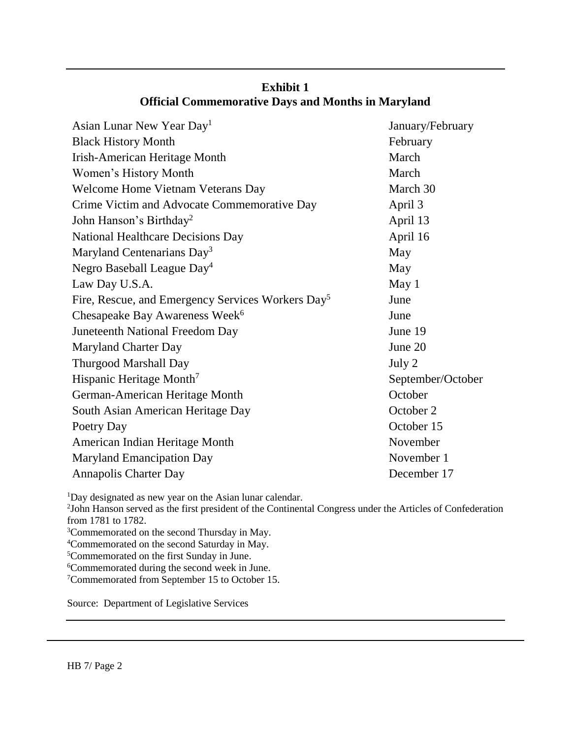| January/February  |
|-------------------|
| February          |
| March             |
| March             |
| March 30          |
| April 3           |
| April 13          |
| April 16          |
| May               |
| May               |
| May 1             |
| June              |
| June              |
| June 19           |
| June 20           |
| July 2            |
| September/October |
| October           |
| October 2         |
| October 15        |
| November          |
| November 1        |
| December 17       |
|                   |

# **Exhibit 1 Official Commemorative Days and Months in Maryland**

<sup>1</sup>Day designated as new year on the Asian lunar calendar.

2 John Hanson served as the first president of the Continental Congress under the Articles of Confederation from 1781 to 1782.

<sup>3</sup>Commemorated on the second Thursday in May.

<sup>4</sup>Commemorated on the second Saturday in May.

<sup>5</sup>Commemorated on the first Sunday in June.

<sup>6</sup>Commemorated during the second week in June.

<sup>7</sup>Commemorated from September 15 to October 15.

Source: Department of Legislative Services